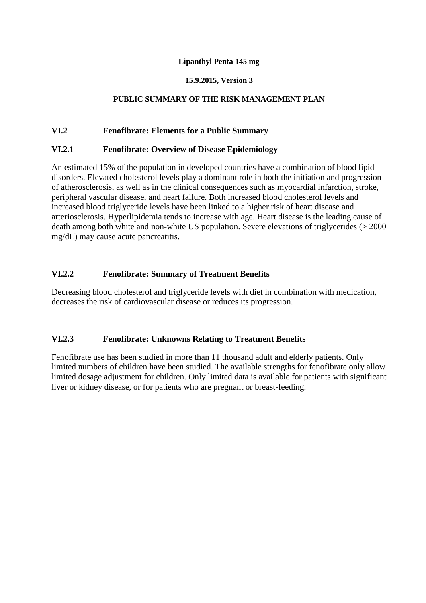#### **Lipanthyl Penta 145 mg**

### **15.9.2015, Version 3**

### **PUBLIC SUMMARY OF THE RISK MANAGEMENT PLAN**

### **VI.2 Fenofibrate: Elements for a Public Summary**

#### **VI.2.1 Fenofibrate: Overview of Disease Epidemiology**

An estimated 15% of the population in developed countries have a combination of blood lipid disorders. Elevated cholesterol levels play a dominant role in both the initiation and progression of atherosclerosis, as well as in the clinical consequences such as myocardial infarction, stroke, peripheral vascular disease, and heart failure. Both increased blood cholesterol levels and increased blood triglyceride levels have been linked to a higher risk of heart disease and arteriosclerosis. Hyperlipidemia tends to increase with age. Heart disease is the leading cause of death among both white and non-white US population. Severe elevations of triglycerides (> 2000 mg/dL) may cause acute pancreatitis.

### **VI.2.2 Fenofibrate: Summary of Treatment Benefits**

Decreasing blood cholesterol and triglyceride levels with diet in combination with medication, decreases the risk of cardiovascular disease or reduces its progression.

## **VI.2.3 Fenofibrate: Unknowns Relating to Treatment Benefits**

Fenofibrate use has been studied in more than 11 thousand adult and elderly patients. Only limited numbers of children have been studied. The available strengths for fenofibrate only allow limited dosage adjustment for children. Only limited data is available for patients with significant liver or kidney disease, or for patients who are pregnant or breast-feeding.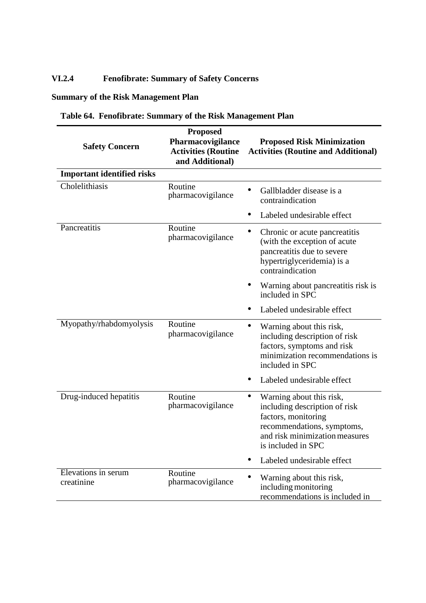# **VI.2.4 Fenofibrate: Summary of Safety Concerns**

# **Summary of the Risk Management Plan**

| <b>Safety Concern</b>             | <b>Proposed</b><br>Pharmacovigilance<br><b>Activities (Routine</b><br>and Additional) | <b>Proposed Risk Minimization</b><br><b>Activities (Routine and Additional)</b>                                                                                                     |
|-----------------------------------|---------------------------------------------------------------------------------------|-------------------------------------------------------------------------------------------------------------------------------------------------------------------------------------|
| <b>Important identified risks</b> |                                                                                       |                                                                                                                                                                                     |
| Cholelithiasis                    | Routine<br>pharmacovigilance                                                          | Gallbladder disease is a<br>contraindication                                                                                                                                        |
|                                   |                                                                                       | Labeled undesirable effect                                                                                                                                                          |
| Pancreatitis                      | Routine<br>pharmacovigilance                                                          | ٠<br>Chronic or acute pancreatitis<br>(with the exception of acute<br>pancreatitis due to severe<br>hypertriglyceridemia) is a<br>contraindication                                  |
|                                   |                                                                                       | Warning about pancreatitis risk is<br>included in SPC                                                                                                                               |
|                                   |                                                                                       | Labeled undesirable effect                                                                                                                                                          |
| Myopathy/rhabdomyolysis           | Routine<br>pharmacovigilance                                                          | Warning about this risk,<br>$\bullet$<br>including description of risk<br>factors, symptoms and risk<br>minimization recommendations is<br>included in SPC                          |
|                                   |                                                                                       | Labeled undesirable effect                                                                                                                                                          |
| Drug-induced hepatitis            | Routine<br>pharmacovigilance                                                          | $\bullet$<br>Warning about this risk,<br>including description of risk<br>factors, monitoring<br>recommendations, symptoms,<br>and risk minimization measures<br>is included in SPC |
|                                   |                                                                                       | Labeled undesirable effect                                                                                                                                                          |
| Elevations in serum<br>creatinine | Routine<br>pharmacovigilance                                                          | Warning about this risk,<br>including monitoring<br>recommendations is included in                                                                                                  |

# **Table 64. Fenofibrate: Summary of the Risk Management Plan**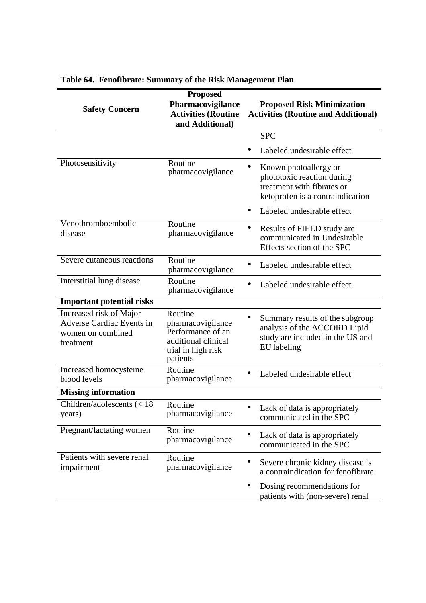| <b>Safety Concern</b>                                                                         | <b>Proposed</b><br>Pharmacovigilance<br><b>Activities (Routine</b><br>and Additional)                      | <b>Proposed Risk Minimization</b><br><b>Activities (Routine and Additional)</b>                                       |
|-----------------------------------------------------------------------------------------------|------------------------------------------------------------------------------------------------------------|-----------------------------------------------------------------------------------------------------------------------|
|                                                                                               |                                                                                                            | <b>SPC</b>                                                                                                            |
|                                                                                               |                                                                                                            | Labeled undesirable effect                                                                                            |
| Photosensitivity                                                                              | Routine<br>pharmacovigilance                                                                               | Known photoallergy or<br>phototoxic reaction during<br>treatment with fibrates or<br>ketoprofen is a contraindication |
|                                                                                               |                                                                                                            | Labeled undesirable effect                                                                                            |
| Venothromboembolic<br>disease                                                                 | Routine<br>pharmacovigilance                                                                               | Results of FIELD study are<br>communicated in Undesirable<br>Effects section of the SPC                               |
| Severe cutaneous reactions                                                                    | Routine<br>pharmacovigilance                                                                               | Labeled undesirable effect                                                                                            |
| Interstitial lung disease                                                                     | Routine<br>pharmacovigilance                                                                               | Labeled undesirable effect                                                                                            |
| <b>Important potential risks</b>                                                              |                                                                                                            |                                                                                                                       |
| Increased risk of Major<br><b>Adverse Cardiac Events in</b><br>women on combined<br>treatment | Routine<br>pharmacovigilance<br>Performance of an<br>additional clinical<br>trial in high risk<br>patients | Summary results of the subgroup<br>analysis of the ACCORD Lipid<br>study are included in the US and<br>EU labeling    |
| Increased homocysteine<br>blood levels                                                        | Routine<br>pharmacovigilance                                                                               | Labeled undesirable effect                                                                                            |
| <b>Missing information</b>                                                                    |                                                                                                            |                                                                                                                       |
| Children/adolescents $(< 18$<br>years)                                                        | Routine<br>pharmacovigilance                                                                               | • Lack of data is appropriately<br>communicated in the SPC                                                            |
| Pregnant/lactating women                                                                      | Routine<br>pharmacovigilance                                                                               | Lack of data is appropriately<br>communicated in the SPC                                                              |
| Patients with severe renal<br>impairment                                                      | Routine<br>pharmacovigilance                                                                               | Severe chronic kidney disease is<br>a contraindication for fenofibrate                                                |
|                                                                                               |                                                                                                            | Dosing recommendations for<br>patients with (non-severe) renal                                                        |

# **Table 64. Fenofibrate: Summary of the Risk Management Plan**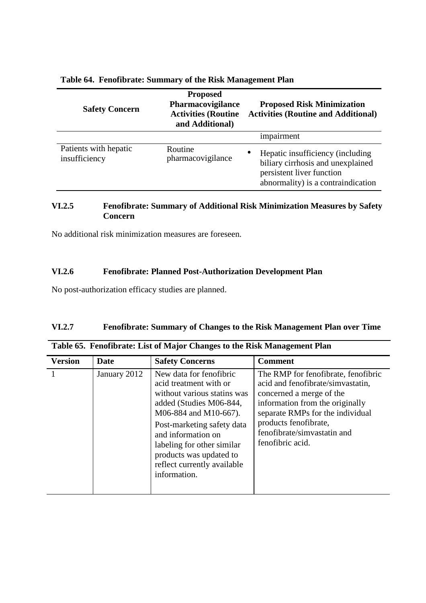| <b>Safety Concern</b>                  | <b>Proposed</b><br>Pharmacovigilance<br><b>Activities (Routine</b><br>and Additional) | <b>Proposed Risk Minimization</b><br><b>Activities (Routine and Additional)</b>                                                               |
|----------------------------------------|---------------------------------------------------------------------------------------|-----------------------------------------------------------------------------------------------------------------------------------------------|
|                                        |                                                                                       | impairment                                                                                                                                    |
| Patients with hepatic<br>insufficiency | Routine<br>pharmacovigilance                                                          | Hepatic insufficiency (including<br>٠<br>biliary cirrhosis and unexplained<br>persistent liver function<br>abnormality) is a contraindication |

## **Table 64. Fenofibrate: Summary of the Risk Management Plan**

### **VI.2.5 Fenofibrate: Summary of Additional Risk Minimization Measures by Safety Concern**

No additional risk minimization measures are foreseen.

# **VI.2.6 Fenofibrate: Planned Post-Authorization Development Plan**

No post-authorization efficacy studies are planned.

## **VI.2.7 Fenofibrate: Summary of Changes to the Risk Management Plan over Time**

| <b>Version</b> | <b>Date</b>  | <b>Safety Concerns</b>                                                                                                                                                                                                                                                                           | <b>Comment</b>                                                                                                                                                                                                                                          |
|----------------|--------------|--------------------------------------------------------------------------------------------------------------------------------------------------------------------------------------------------------------------------------------------------------------------------------------------------|---------------------------------------------------------------------------------------------------------------------------------------------------------------------------------------------------------------------------------------------------------|
|                | January 2012 | New data for fenofibric<br>acid treatment with or<br>without various statins was<br>added (Studies M06-844,<br>M06-884 and M10-667).<br>Post-marketing safety data<br>and information on<br>labeling for other similar<br>products was updated to<br>reflect currently available<br>information. | The RMP for fenofibrate, fenofibric<br>acid and fenofibrate/simvastatin,<br>concerned a merge of the<br>information from the originally<br>separate RMPs for the individual<br>products fenofibrate,<br>fenofibrate/simvastatin and<br>fenofibric acid. |

|  |  | Table 65. Fenofibrate: List of Major Changes to the Risk Management Plan |
|--|--|--------------------------------------------------------------------------|
|  |  |                                                                          |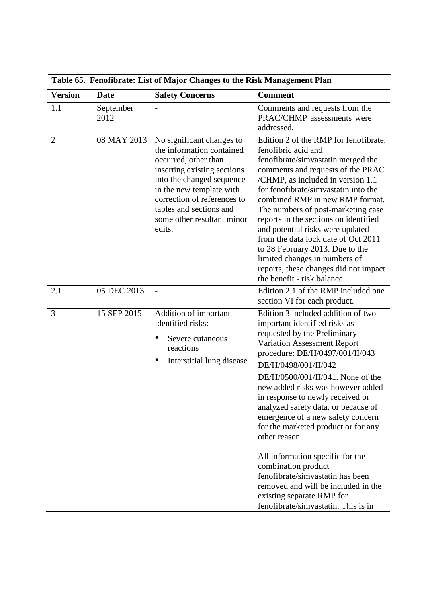| Table 65. Fenofibrate: List of Major Changes to the Risk Management Plan |                   |                                                                                                                                                                                                                                                                          |                                                                                                                                                                                                                                                                                                                                                                                                                                                                                                                                                                                                                                                                  |
|--------------------------------------------------------------------------|-------------------|--------------------------------------------------------------------------------------------------------------------------------------------------------------------------------------------------------------------------------------------------------------------------|------------------------------------------------------------------------------------------------------------------------------------------------------------------------------------------------------------------------------------------------------------------------------------------------------------------------------------------------------------------------------------------------------------------------------------------------------------------------------------------------------------------------------------------------------------------------------------------------------------------------------------------------------------------|
| <b>Version</b>                                                           | <b>Date</b>       | <b>Safety Concerns</b>                                                                                                                                                                                                                                                   | <b>Comment</b>                                                                                                                                                                                                                                                                                                                                                                                                                                                                                                                                                                                                                                                   |
| 1.1                                                                      | September<br>2012 |                                                                                                                                                                                                                                                                          | Comments and requests from the<br>PRAC/CHMP assessments were<br>addressed.                                                                                                                                                                                                                                                                                                                                                                                                                                                                                                                                                                                       |
| $\overline{2}$                                                           | 08 MAY 2013       | No significant changes to<br>the information contained<br>occurred, other than<br>inserting existing sections<br>into the changed sequence<br>in the new template with<br>correction of references to<br>tables and sections and<br>some other resultant minor<br>edits. | Edition 2 of the RMP for fenofibrate,<br>fenofibric acid and<br>fenofibrate/simvastatin merged the<br>comments and requests of the PRAC<br>/CHMP, as included in version 1.1<br>for fenofibrate/simvastatin into the<br>combined RMP in new RMP format.<br>The numbers of post-marketing case<br>reports in the sections on identified<br>and potential risks were updated<br>from the data lock date of Oct 2011<br>to 28 February 2013. Due to the<br>limited changes in numbers of<br>reports, these changes did not impact<br>the benefit - risk balance.                                                                                                    |
| 2.1                                                                      | 05 DEC 2013       | $\overline{\phantom{m}}$                                                                                                                                                                                                                                                 | Edition 2.1 of the RMP included one<br>section VI for each product.                                                                                                                                                                                                                                                                                                                                                                                                                                                                                                                                                                                              |
| 3                                                                        | 15 SEP 2015       | Addition of important<br>identified risks:<br>Severe cutaneous<br>reactions<br>Interstitial lung disease                                                                                                                                                                 | Edition 3 included addition of two<br>important identified risks as<br>requested by the Preliminary<br><b>Variation Assessment Report</b><br>procedure: DE/H/0497/001/II/043<br>DE/H/0498/001/II/042<br>DE/H/0500/001/II/041. None of the<br>new added risks was however added<br>in response to newly received or<br>analyzed safety data, or because of<br>emergence of a new safety concern<br>for the marketed product or for any<br>other reason.<br>All information specific for the<br>combination product<br>fenofibrate/simvastatin has been<br>removed and will be included in the<br>existing separate RMP for<br>fenofibrate/simvastatin. This is in |